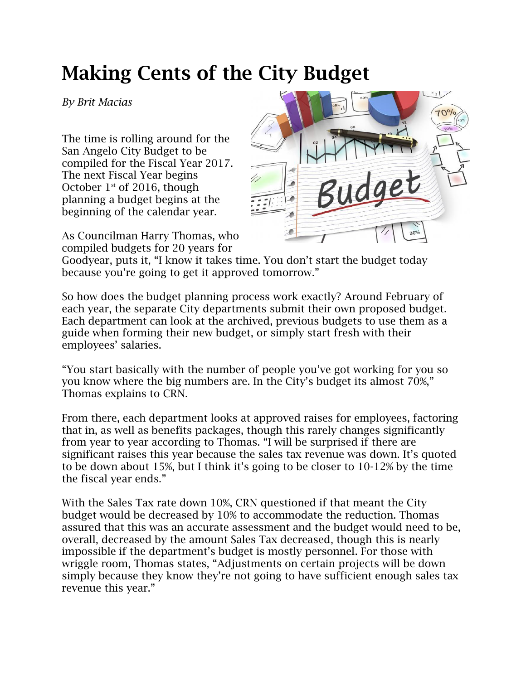## **Making Cents of the City Budget**

*By Brit Macias* 

The time is rolling around for the San Angelo City Budget to be compiled for the Fiscal Year 2017. The next Fiscal Year begins October  $1<sup>st</sup>$  of 2016, though planning a budget begins at the beginning of the calendar year.

As Councilman Harry Thomas, who compiled budgets for 20 years for



Goodyear, puts it, "I know it takes time. You don't start the budget today because you're going to get it approved tomorrow."

So how does the budget planning process work exactly? Around February of each year, the separate City departments submit their own proposed budget. Each department can look at the archived, previous budgets to use them as a guide when forming their new budget, or simply start fresh with their employees' salaries.

"You start basically with the number of people you've got working for you so you know where the big numbers are. In the City's budget its almost 70%," Thomas explains to CRN.

From there, each department looks at approved raises for employees, factoring that in, as well as benefits packages, though this rarely changes significantly from year to year according to Thomas. "I will be surprised if there are significant raises this year because the sales tax revenue was down. It's quoted to be down about 15%, but I think it's going to be closer to 10-12% by the time the fiscal year ends."

With the Sales Tax rate down 10%, CRN questioned if that meant the City budget would be decreased by 10% to accommodate the reduction. Thomas assured that this was an accurate assessment and the budget would need to be, overall, decreased by the amount Sales Tax decreased, though this is nearly impossible if the department's budget is mostly personnel. For those with wriggle room, Thomas states, "Adjustments on certain projects will be down simply because they know they're not going to have sufficient enough sales tax revenue this year."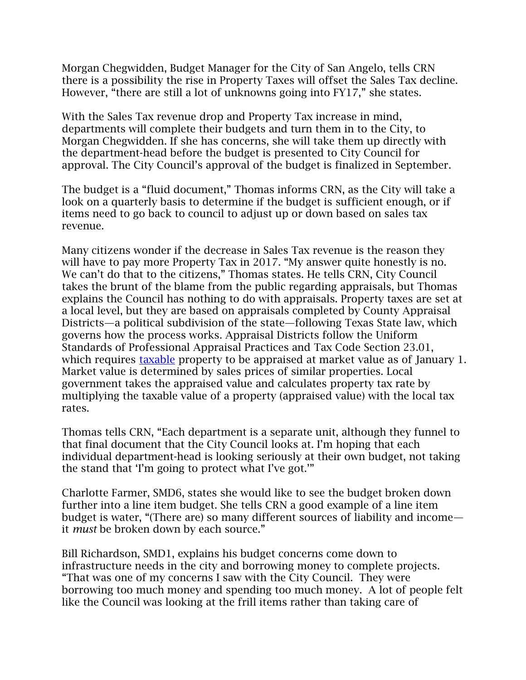Morgan Chegwidden, Budget Manager for the City of San Angelo, tells CRN there is a possibility the rise in Property Taxes will offset the Sales Tax decline. However, "there are still a lot of unknowns going into FY17," she states.

With the Sales Tax revenue drop and Property Tax increase in mind, departments will complete their budgets and turn them in to the City, to Morgan Chegwidden. If she has concerns, she will take them up directly with the department-head before the budget is presented to City Council for approval. The City Council's approval of the budget is finalized in September.

The budget is a "fluid document," Thomas informs CRN, as the City will take a look on a quarterly basis to determine if the budget is sufficient enough, or if items need to go back to council to adjust up or down based on sales tax revenue.

Many citizens wonder if the decrease in Sales Tax revenue is the reason they will have to pay more Property Tax in 2017. "My answer quite honestly is no. We can't do that to the citizens," Thomas states. He tells CRN, City Council takes the brunt of the blame from the public regarding appraisals, but Thomas explains the Council has nothing to do with appraisals. Property taxes are set at a local level, but they are based on appraisals completed by County Appraisal Districts—a political subdivision of the state—following Texas State law, which governs how the process works. Appraisal Districts follow the Uniform Standards of Professional Appraisal Practices and Tax Code Section 23.01, which requires [taxable](http://comptroller.texas.gov/taxinfo/proptax/ptax_faq.html) property to be appraised at market value as of January 1. Market value is determined by sales prices of similar properties. Local government takes the appraised value and calculates property tax rate by multiplying the taxable value of a property (appraised value) with the local tax rates.

Thomas tells CRN, "Each department is a separate unit, although they funnel to that final document that the City Council looks at. I'm hoping that each individual department-head is looking seriously at their own budget, not taking the stand that 'I'm going to protect what I've got.'"

Charlotte Farmer, SMD6, states she would like to see the budget broken down further into a line item budget. She tells CRN a good example of a line item budget is water, "(There are) so many different sources of liability and income it *must* be broken down by each source."

Bill Richardson, SMD1, explains his budget concerns come down to infrastructure needs in the city and borrowing money to complete projects. "That was one of my concerns I saw with the City Council. They were borrowing too much money and spending too much money. A lot of people felt like the Council was looking at the frill items rather than taking care of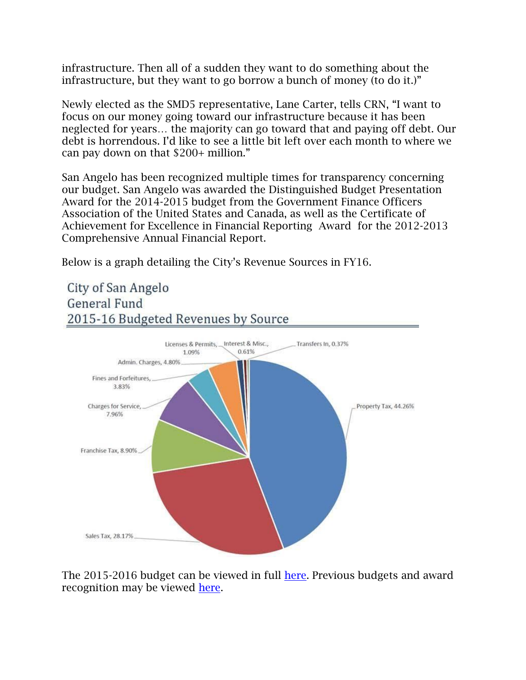infrastructure. Then all of a sudden they want to do something about the infrastructure, but they want to go borrow a bunch of money (to do it.)"

Newly elected as the SMD5 representative, Lane Carter, tells CRN, "I want to focus on our money going toward our infrastructure because it has been neglected for years… the majority can go toward that and paying off debt. Our debt is horrendous. I'd like to see a little bit left over each month to where we can pay down on that \$200+ million."

San Angelo has been recognized multiple times for transparency concerning our budget. San Angelo was awarded the Distinguished Budget Presentation Award for the 2014-2015 budget from the Government Finance Officers Association of the United States and Canada, as well as the [Certificate of](http://www.cosatx.us/home/showdocument?id=11102)  [Achievement for Excellence in Financial Reporting](http://www.cosatx.us/home/showdocument?id=11102) Award for the 2012-2013 Comprehensive Annual Financial Report.

Below is a graph detailing the City's Revenue Sources in FY16.



The 2015-2016 budget can be viewed in full [here.](http://www.cosatx.us/home/showdocument?id=14147) Previous budgets and award recognition may be viewed [here.](http://www.cosatx.us/departments-services/finance/financial-transparency)